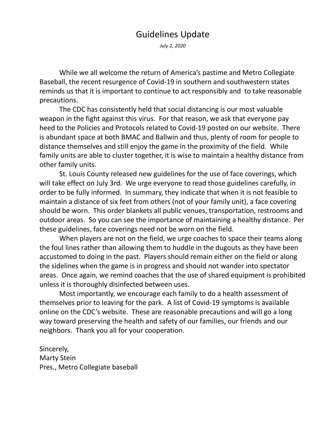## Guidelines Update

July 2, 2020

While we all welcome the return of America's pastime and Metro Collegiate Baseball, the recent resurgence of Covid-19 in southern and southwestern states reminds us that it is important to continue to act responsibly and to take reasonable precautions.

The CDC has consistently held that social distancing is our most valuable weapon in the fight against this virus. For that reason, we ask that everyone pay heed to the Policies and Protocols related to Covid-19 posted on our website. There is abundant space at both BMAC and Ballwin and thus, plenty of room for people to distance themselves and still enjoy the game in the proximity of the field. While family units are able to cluster together, it is wise to maintain a healthy distance from other family units.

St. Louis County released new guidelines for the use of face coverings, which will take effect on July 3rd. We urge everyone to read those guidelines carefully, in order to be fully informed. In summary, they indicate that when it is not feasible to maintain a distance of six feet from others (not of your family unit), a face covering should be worn. This order blankets all public venues, transportation, restrooms and outdoor areas. So you can see the importance of maintaining a healthy distance. Per these guidelines, face coverings need not be worn on the field.

When players are not on the field, we urge coaches to space their teams along the foul lines rather than allowing them to huddle in the dugouts as they have been accustomed to doing in the past. Players should remain either on the field or along the sidelines when the game is in progress and should not wander into spectator areas. Once again, we remind coaches that the use of shared equipment is prohibited unless it is thoroughly disinfected between uses.

Most importantly, we encourage each family to do a health assessment of themselves prior to leaving for the park. A list of Covid-19 symptoms is available online on the CDC's website. These are reasonable precautions and will go a long way toward preserving the health and safety of our families, our friends and our neighbors. Thank you all for your cooperation.

Sincerely, Marty Stein Pres., Metro Collegiate baseball